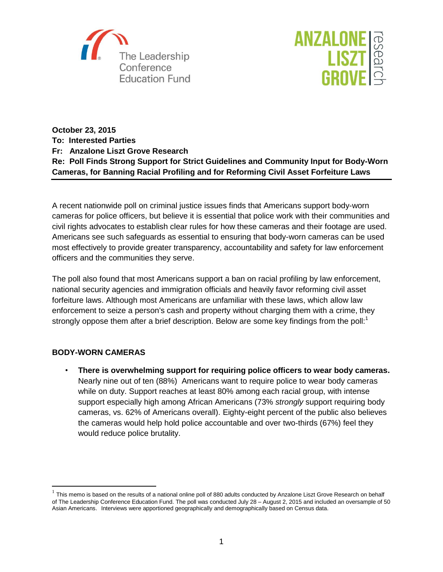



**October 23, 2015 To: Interested Parties Fr: Anzalone Liszt Grove Research Re: Poll Finds Strong Support for Strict Guidelines and Community Input for Body-Worn Cameras, for Banning Racial Profiling and for Reforming Civil Asset Forfeiture Laws**

A recent nationwide poll on criminal justice issues finds that Americans support body-worn cameras for police officers, but believe it is essential that police work with their communities and civil rights advocates to establish clear rules for how these cameras and their footage are used. Americans see such safeguards as essential to ensuring that body-worn cameras can be used most effectively to provide greater transparency, accountability and safety for law enforcement officers and the communities they serve.

The poll also found that most Americans support a ban on racial profiling by law enforcement, national security agencies and immigration officials and heavily favor reforming civil asset forfeiture laws. Although most Americans are unfamiliar with these laws, which allow law enforcement to seize a person's cash and property without charging them with a crime, they strongly oppose them after a brief description. Below are some key findings from the poll:<sup>1</sup>

## **BODY-WORN CAMERAS**

 $\overline{\phantom{a}}$ 

• **There is overwhelming support for requiring police officers to wear body cameras.** Nearly nine out of ten (88%) Americans want to require police to wear body cameras while on duty. Support reaches at least 80% among each racial group, with intense support especially high among African Americans (73% *strongly* support requiring body cameras, vs. 62% of Americans overall). Eighty-eight percent of the public also believes the cameras would help hold police accountable and over two-thirds (67%) feel they would reduce police brutality.

 $^1$  This memo is based on the results of a national online poll of 880 adults conducted by Anzalone Liszt Grove Research on behalf of The Leadership Conference Education Fund. The poll was conducted July 28 – August 2, 2015 and included an oversample of 50 Asian Americans. Interviews were apportioned geographically and demographically based on Census data.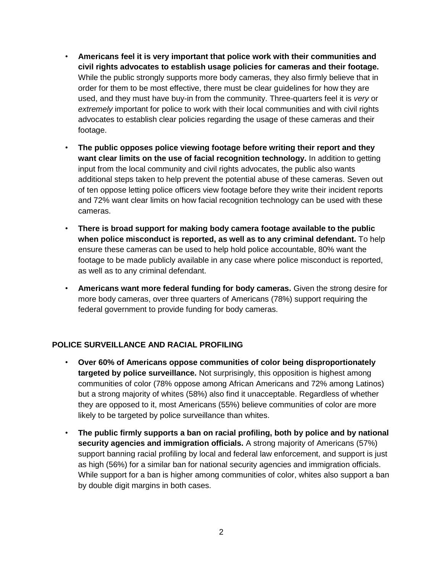- **Americans feel it is very important that police work with their communities and civil rights advocates to establish usage policies for cameras and their footage.** While the public strongly supports more body cameras, they also firmly believe that in order for them to be most effective, there must be clear guidelines for how they are used, and they must have buy-in from the community. Three-quarters feel it is *very* or *extremely* important for police to work with their local communities and with civil rights advocates to establish clear policies regarding the usage of these cameras and their footage.
- **The public opposes police viewing footage before writing their report and they want clear limits on the use of facial recognition technology.** In addition to getting input from the local community and civil rights advocates, the public also wants additional steps taken to help prevent the potential abuse of these cameras. Seven out of ten oppose letting police officers view footage before they write their incident reports and 72% want clear limits on how facial recognition technology can be used with these cameras.
- **There is broad support for making body camera footage available to the public when police misconduct is reported, as well as to any criminal defendant.** To help ensure these cameras can be used to help hold police accountable, 80% want the footage to be made publicly available in any case where police misconduct is reported, as well as to any criminal defendant.
- **Americans want more federal funding for body cameras.** Given the strong desire for more body cameras, over three quarters of Americans (78%) support requiring the federal government to provide funding for body cameras.

## **POLICE SURVEILLANCE AND RACIAL PROFILING**

- **Over 60% of Americans oppose communities of color being disproportionately targeted by police surveillance.** Not surprisingly, this opposition is highest among communities of color (78% oppose among African Americans and 72% among Latinos) but a strong majority of whites (58%) also find it unacceptable. Regardless of whether they are opposed to it, most Americans (55%) believe communities of color are more likely to be targeted by police surveillance than whites.
- **The public firmly supports a ban on racial profiling, both by police and by national security agencies and immigration officials.** A strong majority of Americans (57%) support banning racial profiling by local and federal law enforcement, and support is just as high (56%) for a similar ban for national security agencies and immigration officials. While support for a ban is higher among communities of color, whites also support a ban by double digit margins in both cases.